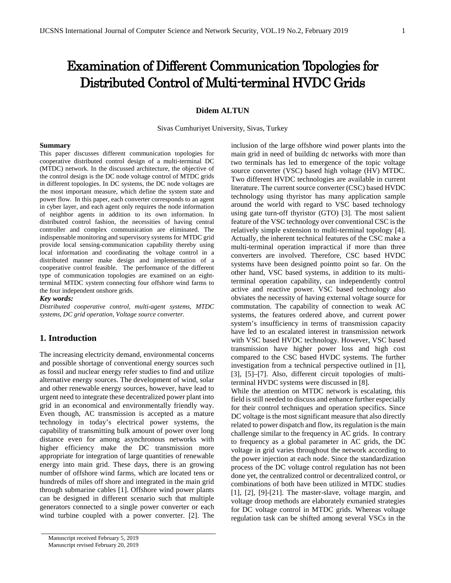# Examination of Different Communication Topologies for Distributed Control of Multi-terminal HVDC Grids

#### **Didem ALTUN**

Sivas Cumhuriyet University, Sivas, Turkey

#### **Summary**

This paper discusses different communication topologies for cooperative distributed control design of a multi-terminal DC (MTDC) network. In the discussed architecture, the objective of the control design is the DC node voltage control of MTDC grids in different topologies. In DC systems, the DC node voltages are the most important measure, which define the system state and power flow. In this paper, each converter corresponds to an agent in cyber layer, and each agent only requires the node information of neighbor agents in addition to its own information. In distributed control fashion, the necessities of having central controller and complex communication are eliminated. The indispensable monitoring and supervisory systems for MTDC grid provide local sensing-communication capability thereby using local information and coordinating the voltage control in a distributed manner make design and implementation of a cooperative control feasible. The performance of the different type of communication topologies are examined on an eightterminal MTDC system connecting four offshore wind farms to the four independent onshore grids.

#### *Key words:*

*Distributed cooperative control, multi-agent systems, MTDC systems, DC grid operation, Voltage source converter.*

## **1. Introduction**

The increasing electricity demand, environmental concerns and possible shortage of conventional energy sources such as fossil and nuclear energy refer studies to find and utilize alternative energy sources. The development of wind, solar and other renewable energy sources, however, have lead to urgent need to integrate these decentralized power plant into grid in an economical and environmentally friendly way. Even though, AC transmission is accepted as a mature technology in today's electrical power systems, the capability of transmitting bulk amount of power over long distance even for among asynchronous networks with higher efficiency make the DC transmission more appropriate for integration of large quantities of renewable energy into main grid. These days, there is an growing number of offshore wind farms, which are located tens or hundreds of miles off shore and integrated in the main grid through submarine cables [1]. Offshore wind power plants can be designed in different scenario such that multiple generators connected to a single power converter or each wind turbine coupled with a power converter. [2]. The

inclusion of the large offshore wind power plants into the main grid in need of building dc networks with more than two terminals has led to emergence of the topic voltage source converter (VSC) based high voltage (HV) MTDC. Two different HVDC technologies are available in current literature. The current source converter (CSC) based HVDC technology using thyristor has many application sample around the world with regard to VSC based technology using gate turn-off thyristor (GTO) [3]. The most salient feature of the VSC technology over conventional CSC is the relatively simple extension to multi-terminal topology [4]. Actually, the inherent technical features of the CSC make a multi-terminal operation impractical if more than three converters are involved. Therefore, CSC based HVDC systems have been designed pointto point so far. On the other hand, VSC based systems, in addition to its multiterminal operation capability, can independently control active and reactive power. VSC based technology also obviates the necessity of having external voltage source for commutation. The capability of connection to weak AC systems, the features ordered above, and current power system's insufficiency in terms of transmission capacity have led to an escalated interest in transmission network with VSC based HVDC technology. However, VSC based transmission have higher power loss and high cost compared to the CSC based HVDC systems. The further investigation from a technical perspective outlined in [1], [3], [5]–[7]. Also, different circuit topologies of multiterminal HVDC systems were discussed in [8].

While the attention on MTDC network is escalating, this field is still needed to discuss and enhance further especially for their control techniques and operation specifics. Since DC voltage is the most significant measure that also directly related to power dispatch and flow, its regulation is the main challenge similar to the frequency in AC grids. In contrary to frequency as a global parameter in AC grids, the DC voltage in grid varies throughout the network according to the power injection at each node. Since the standardization process of the DC voltage control regulation has not been done yet, the centralized control or decentralized control, or combinations of both have been utilized in MTDC studies [1], [2], [9]-[21]. The master-slave, voltage margin, and voltage droop methods are elaborately exmanied strategies for DC voltage control in MTDC grids. Whereas voltage regulation task can be shifted among several VSCs in the

Manuscript received February 5, 2019 Manuscript revised February 20, 2019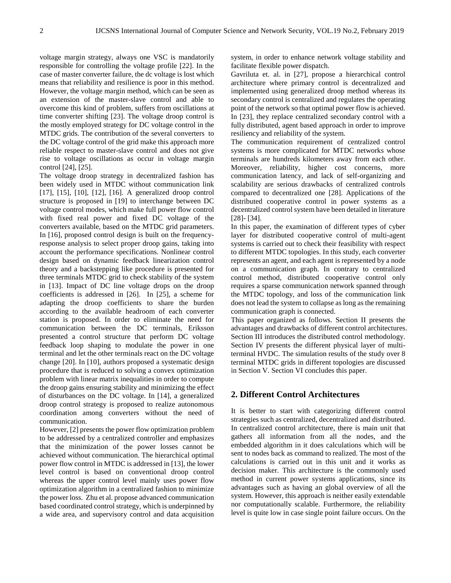voltage margin strategy, always one VSC is mandatorily responsible for controlling the voltage profile [22]. In the case of master converter failure, the dc voltage is lost which means that reliability and resilience is poor in this method. However, the voltage margin method, which can be seen as an extension of the master-slave control and able to overcome this kind of problem, suffers from oscillations at time converter shifting [23]. The voltage droop control is the mostly employed strategy for DC voltage control in the MTDC grids. The contribution of the several converters to the DC voltage control of the grid make this approach more reliable respect to master-slave control and does not give rise to voltage oscillations as occur in voltage margin control [24], [25].

The voltage droop strategy in decentralized fashion has been widely used in MTDC without communication link [17], [15], [10], [12], [16]. A generalized droop control structure is proposed in [19] to interchange between DC voltage control modes, which make full power flow control with fixed real power and fixed DC voltage of the converters available, based on the MTDC grid parameters. In [16], proposed control design is built on the frequencyresponse analysis to select proper droop gains, taking into account the performance specifications. Nonlinear control design based on dynamic feedback linearization control theory and a backstepping like procedure is presented for three terminals MTDC grid to check stability of the system in [13]. Impact of DC line voltage drops on the droop coefficients is addressed in [26]. In [25], a scheme for adapting the droop coefficients to share the burden according to the available headroom of each converter station is proposed. In order to eliminate the need for communication between the DC terminals, Eriksson presented a control structure that perform DC voltage feedback loop shaping to modulate the power in one terminal and let the other terminals react on the DC voltage change [20]. In [10], authors proposed a systematic design procedure that is reduced to solving a convex optimization problem with linear matrix inequalities in order to compute the droop gains ensuring stability and minimizing the effect of disturbances on the DC voltage. In [14], a generalized droop control strategy is proposed to realize autonomous coordination among converters without the need of communication.

However, [2] presents the power flow optimization problem to be addressed by a centralized controller and emphasizes that the minimization of the power losses cannot be achieved without communication. The hierarchical optimal power flow control in MTDC is addressed in [13], the lower level control is based on conventional droop control whereas the upper control level mainly uses power flow optimization algorithm in a centralized fashion to minimize the power loss. Zhu et al. propose advanced communication based coordinated control strategy, which is underpinned by a wide area, and supervisory control and data acquisition

system, in order to enhance network voltage stability and facilitate flexible power dispatch.

Gavriluta et. al. in [27], propose a hierarchical control architecture where primary control is decentralized and implemented using generalized droop method whereas its secondary control is centralized and regulates the operating point of the network so that optimal power flow is achieved. In [23], they replace centralized secondary control with a fully distributed, agent based approach in order to improve resiliency and reliability of the system.

The communication requirement of centralized control systems is more complicated for MTDC networks whose terminals are hundreds kilometers away from each other. Moreover, reliability, higher cost concerns, more communication latency, and lack of self-organizing and scalability are serious drawbacks of centralized controls compared to decentralized one [28]. Applications of the distributed cooperative control in power systems as a decentralized control system have been detailed in literature [28]- [34].

In this paper, the examination of different types of cyber layer for distributed cooperative control of multi-agent systems is carried out to check their feasibility with respect to different MTDC topologies. In this study, each converter represents an agent, and each agent is represented by a node on a communication graph. In contrary to centralized control method, distributed cooperative control only requires a sparse communication network spanned through the MTDC topology, and loss of the communication link does not lead the system to collapse as long as the remaining communication graph is connected.

This paper organized as follows. Section II presents the advantages and drawbacks of different control architectures. Section III introduces the distributed control methodology. Section IV presents the different physical layer of multiterminal HVDC. The simulation results of the study over 8 terminal MTDC grids in different topologies are discussed in Section V. Section VI concludes this paper.

# **2. Different Control Architectures**

It is better to start with categorizing different control strategies such as centralized, decentralized and distributed. In centralized control architecture, there is main unit that gathers all information from all the nodes, and the embedded algorithm in it does calculations which will be sent to nodes back as command to realized. The most of the calculations is carried out in this unit and it works as decision maker. This architecture is the commonly used method in current power systems applications, since its advantages such as having an global overview of all the system. However, this approach is neither easily extendable nor computationally scalable. Furthermore, the reliability level is quite low in case single point failure occurs. On the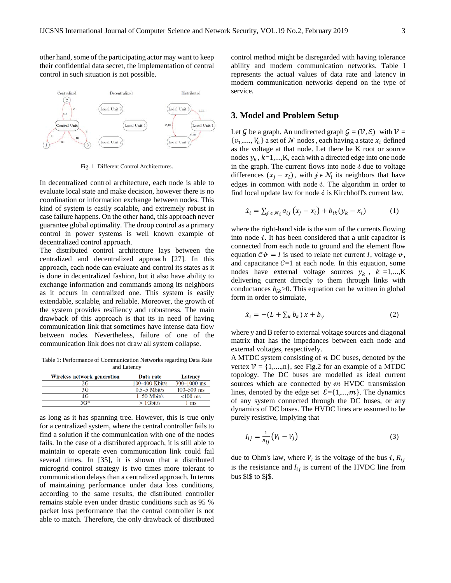other hand, some of the participating actor may want to keep their confidential data secret, the implementation of central control in such situation is not possible.



Fig. 1 Different Control Architectures.

In decentralized control architecture, each node is able to evaluate local state and make decision, however there is no coordination or information exchange between nodes. This kind of system is easily scalable, and extremely robust in case failure happens. On the other hand, this approach never guarantee global optimality. The droop control as a primary control in power systems is well known example of decentralized control approach.

The distributed control architecture lays between the centralized and decentralized approach [27]. In this approach, each node can evaluate and control its states as it is done in decentralized fashion, but it also have ability to exchange information and commands among its neighbors as it occurs in centralized one. This system is easily extendable, scalable, and reliable. Moreover, the growth of the system provides resiliency and robustness. The main drawback of this approach is that its in need of having communication link that sometimes have intense data flow between nodes. Nevertheless, failure of one of the communication link does not draw all system collapse.

Table 1: Performance of Communication Networks regarding Data Rate and Latency

| Wireless network generation | Data rate      | Latency         |
|-----------------------------|----------------|-----------------|
| 2G                          | 100-400 Kbit/s | $300 - 1000$ ms |
| 3G                          | $0.5-5$ Mbit/s | $100 - 500$ ms  |
| 4G                          | $1-50$ Mbit/s  | $< 100$ ms      |
| $5G*$                       | $>1$ Gbit/s    | l ms            |

as long as it has spanning tree. However, this is true only for a centralized system, where the central controller fails to find a solution if the communication with one of the nodes fails. In the case of a distributed approach, it is still able to maintain to operate even communication link could fail several times. In [35], it is shown that a distributed microgrid control strategy is two times more tolerant to communication delays than a centralized approach. In terms of maintaining performance under data loss conditions, according to the same results, the distributed controller remains stable even under drastic conditions such as 95 % packet loss performance that the central controller is not able to match. Therefore, the only drawback of distributed control method might be disregarded with having tolerance ability and modern communication networks. Table I represents the actual values of data rate and latency in modern communication networks depend on the type of service.

# **3. Model and Problem Setup**

Let G be a graph. An undirected graph  $G = (V, \mathcal{E})$  with  $V =$  $\{v_1, \ldots, V_n\}$  a set of  $N$  nodes, each having a state  $x_i$  defined as the voltage at that node. Let there be K root or source nodes  $y_k$ ,  $k=1,...,K$ , each with a directed edge into one node in the graph. The current flows into node  $i$  due to voltage differences  $(x_i - x_i)$ , with  $j \in \mathcal{N}_i$  its neighbors that have edges in common with node  $i$ . The algorithm in order to find local update law for node  $\dot{\imath}$  is Kirchhoff's current law,

$$
\dot{x}_i = \sum_{j \in \mathcal{N}_i} a_{ij} (x_j - x_i) + b_{ik} (y_k - x_i) \tag{1}
$$

where the right-hand side is the sum of the currents flowing into node  $i$ . It has been considered that a unit capacitor is connected from each node to ground and the element flow equation  $C\dot{v} = I$  is used to relate net current *I*, voltage  $v$ , and capacitance  $C=1$  at each node. In this equation, some nodes have external voltage sources  $y_k$ ,  $k = 1,...,K$ delivering current directly to them through links with conductances  $b_{ik}$  > 0. This equation can be written in global form in order to simulate,

$$
\dot{x}_i = -(L + \sum_k b_k) x + b_y \tag{2}
$$

where y and B refer to external voltage sources and diagonal matrix that has the impedances between each node and external voltages, respectively.

A MTDC system consisting of  $n$  DC buses, denoted by the vertex  $V = \{1,...,n\}$ , see Fig.2 for an example of a MTDC topology. The DC buses are modelled as ideal current sources which are connected by  $m$  HVDC transmission lines, denoted by the edge set  $\mathcal{E} = \{1, ..., m\}$ . The dynamics of any system connected through the DC buses, or any dynamics of DC buses. The HVDC lines are assumed to be purely resistive, implying that

$$
I_{ij} = \frac{1}{R_{ij}} \left( V_i - V_j \right) \tag{3}
$$

due to Ohm's law, where  $V_i$  is the voltage of the bus  $i$ ,  $R_{ij}$ is the resistance and  $I_{ij}$  is current of the HVDC line from bus \$i\$ to \$j\$.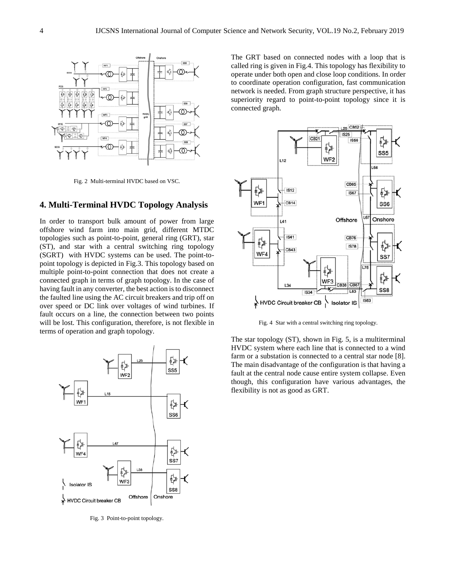

Fig. 2 Multi-terminal HVDC based on VSC.

## **4. Multi-Terminal HVDC Topology Analysis**

In order to transport bulk amount of power from large offshore wind farm into main grid, different MTDC topologies such as point-to-point, general ring (GRT), star (ST), and star with a central switching ring topology (SGRT) with HVDC systems can be used. The point-topoint topology is depicted in Fig.3. This topology based on multiple point-to-point connection that does not create a connected graph in terms of graph topology. In the case of having fault in any converter, the best action is to disconnect the faulted line using the AC circuit breakers and trip off on over speed or DC link over voltages of wind turbines. If fault occurs on a line, the connection between two points will be lost. This configuration, therefore, is not flexible in terms of operation and graph topology.



Fig. 3 Point-to-point topology.

The GRT based on connected nodes with a loop that is called ring is given in Fig.4. This topology has flexibility to operate under both open and close loop conditions. In order to coordinate operation configuration, fast communication network is needed. From graph structure perspective, it has superiority regard to point-to-point topology since it is connected graph.



Fig. 4 Star with a central switching ring topology.

The star topology (ST), shown in Fig. 5, is a multiterminal HVDC system where each line that is connected to a wind farm or a substation is connected to a central star node [8]. The main disadvantage of the configuration is that having a fault at the central node cause entire system collapse. Even though, this configuration have various advantages, the flexibility is not as good as GRT.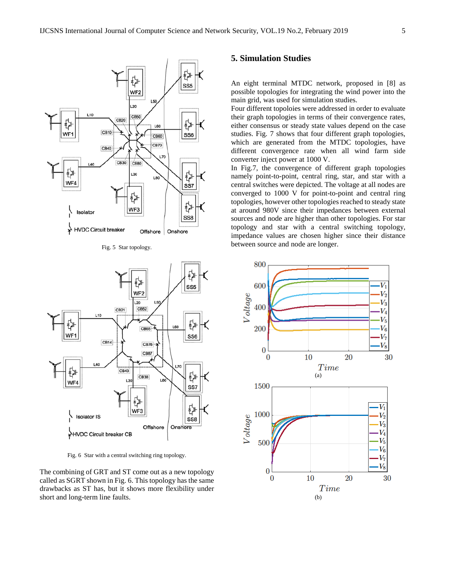

Fig. 5 Star topology.



Fig. 6 Star with a central switching ring topology.

The combining of GRT and ST come out as a new topology called as SGRT shown in Fig. 6. This topology has the same drawbacks as ST has, but it shows more flexibility under short and long-term line faults.

# **5. Simulation Studies**

An eight terminal MTDC network, proposed in [8] as possible topologies for integrating the wind power into the main grid, was used for simulation studies.

Four different topoloies were addressed in order to evaluate their graph topologies in terms of their convergence rates, either consensus or steady state values depend on the case studies. Fig. 7 shows that four different graph topologies, which are generated from the MTDC topologies, have different convergence rate when all wind farm side converter inject power at 1000 V.

In Fig.7, the convergence of different graph topologies namely point-to-point, central ring, star, and star with a central switches were depicted. The voltage at all nodes are converged to 1000 V for point-to-point and central ring topologies, however other topologies reached to steady state at around 980V since their impedances between external sources and node are higher than other topologies. For star topology and star with a central switching topology, impedance values are chosen higher since their distance between source and node are longer.

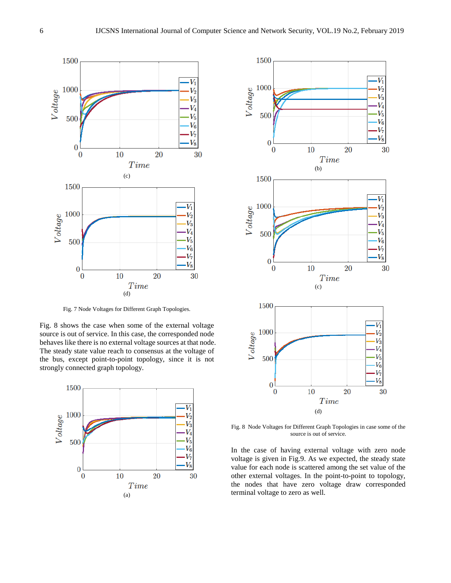

Fig. 7 Node Voltages for Different Graph Topologies.

Fig. 8 shows the case when some of the external voltage source is out of service. In this case, the corresponded node behaves like there is no external voltage sources at that node. The steady state value reach to consensus at the voltage of the bus, except point-to-point topology, since it is not strongly connected graph topology.





Fig. 8 Node Voltages for Different Graph Topologies in case some of the source is out of service.

In the case of having external voltage with zero node voltage is given in Fig.9. As we expected, the steady state value for each node is scattered among the set value of the other external voltages. In the point-to-point to topology, the nodes that have zero voltage draw corresponded terminal voltage to zero as well.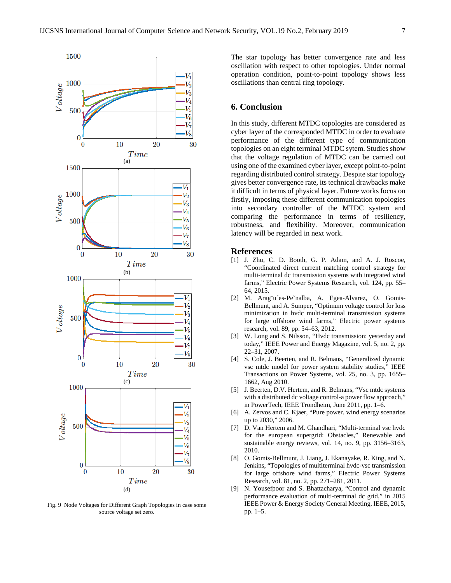

Fig. 9 Node Voltages for Different Graph Topologies in case some source voltage set zero.

The star topology has better convergence rate and less oscillation with respect to other topologies. Under normal operation condition, point-to-point topology shows less oscillations than central ring topology.

# **6. Conclusion**

In this study, different MTDC topologies are considered as cyber layer of the corresponded MTDC in order to evaluate performance of the different type of communication topologies on an eight terminal MTDC sytem. Studies show that the voltage regulation of MTDC can be carried out using one of the examined cyber layer, except point-to-point regarding distributed control strategy. Despite star topology gives better convergence rate, its technical drawbacks make it difficult in terms of physical layer. Future works focus on firstly, imposing these different communication topologies into secondary controller of the MTDC system and comparing the performance in terms of resiliency, robustness, and flexibility. Moreover, communication latency will be regarded in next work.

## **References**

- [1] J. Zhu, C. D. Booth, G. P. Adam, and A. J. Roscoe, "Coordinated direct current matching control strategy for multi-terminal dc transmission systems with integrated wind farms," Electric Power Systems Research, vol. 124, pp. 55– 64, 2015.
- [2] M. Arag¨u´es-Pe˜nalba, A. Egea-Alvarez, O. Gomis-Bellmunt, and A. Sumper, "Optimum voltage control for loss minimization in hvdc multi-terminal transmission systems for large offshore wind farms," Electric power systems research, vol. 89, pp. 54–63, 2012.
- [3] W. Long and S. Nilsson, "Hydc transmission: yesterday and today," IEEE Power and Energy Magazine, vol. 5, no. 2, pp. 22–31, 2007.
- [4] S. Cole, J. Beerten, and R. Belmans, "Generalized dynamic vsc mtdc model for power system stability studies," IEEE Transactions on Power Systems, vol. 25, no. 3, pp. 1655– 1662, Aug 2010.
- [5] J. Beerten, D.V. Hertem, and R. Belmans, "Vsc mtdc systems with a distributed dc voltage control-a power flow approach," in PowerTech, IEEE Trondheim, June 2011, pp. 1–6.
- [6] A. Zervos and C. Kjaer, "Pure power. wind energy scenarios up to 2030," 2006.
- [7] D. Van Hertem and M. Ghandhari, "Multi-terminal vsc hvdc for the european supergrid: Obstacles," Renewable and sustainable energy reviews, vol. 14, no. 9, pp. 3156–3163, 2010.
- [8] O. Gomis-Bellmunt, J. Liang, J. Ekanayake, R. King, and N. Jenkins, "Topologies of multiterminal hvdc-vsc transmission for large offshore wind farms," Electric Power Systems Research, vol. 81, no. 2, pp. 271–281, 2011.
- [9] N. Yousefpoor and S. Bhattacharya, "Control and dynamic performance evaluation of multi-terminal dc grid," in 2015 IEEE Power & Energy Society General Meeting. IEEE, 2015, pp. 1–5.